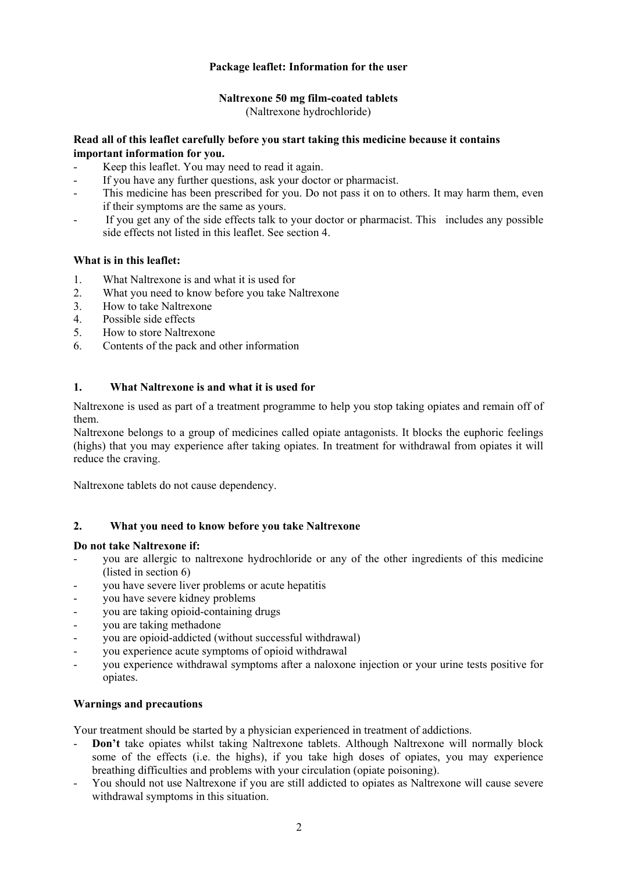# **Package leaflet: Information for the user**

# **Naltrexone 50 mg film-coated tablets**

(Naltrexone hydrochloride)

# **Read all of this leaflet carefully before you start taking this medicine because it contains important information for you.**

- Keep this leaflet. You may need to read it again.
- If you have any further questions, ask your doctor or pharmacist.
- This medicine has been prescribed for you. Do not pass it on to others. It may harm them, even if their symptoms are the same as yours.
- If you get any of the side effects talk to your doctor or pharmacist. This includes any possible side effects not listed in this leaflet. See section 4.

# **What is in this leaflet:**

- 1. What Naltrexone is and what it is used for
- 2. What you need to know before you take Naltrexone
- 3. How to take Naltrexone
- 4. Possible side effects
- 5. How to store Naltrexone
- 6. Contents of the pack and other information

# **1. What Naltrexone is and what it is used for**

Naltrexone is used as part of a treatment programme to help you stop taking opiates and remain off of them.

Naltrexone belongs to a group of medicines called opiate antagonists. It blocks the euphoric feelings (highs) that you may experience after taking opiates. In treatment for withdrawal from opiates it will reduce the craving.

Naltrexone tablets do not cause dependency.

#### **2. What you need to know before you take Naltrexone**

#### **Do not take Naltrexone if:**

- you are allergic to naltrexone hydrochloride or any of the other ingredients of this medicine (listed in section 6)
- you have severe liver problems or acute hepatitis
- you have severe kidney problems
- you are taking opioid-containing drugs
- you are taking methadone
- you are opioid-addicted (without successful withdrawal)
- you experience acute symptoms of opioid withdrawal
- you experience withdrawal symptoms after a naloxone injection or your urine tests positive for opiates.

#### **Warnings and precautions**

Your treatment should be started by a physician experienced in treatment of addictions.

- Don't take opiates whilst taking Naltrexone tablets. Although Naltrexone will normally block some of the effects (i.e. the highs), if you take high doses of opiates, you may experience breathing difficulties and problems with your circulation (opiate poisoning).
- You should not use Naltrexone if you are still addicted to opiates as Naltrexone will cause severe withdrawal symptoms in this situation.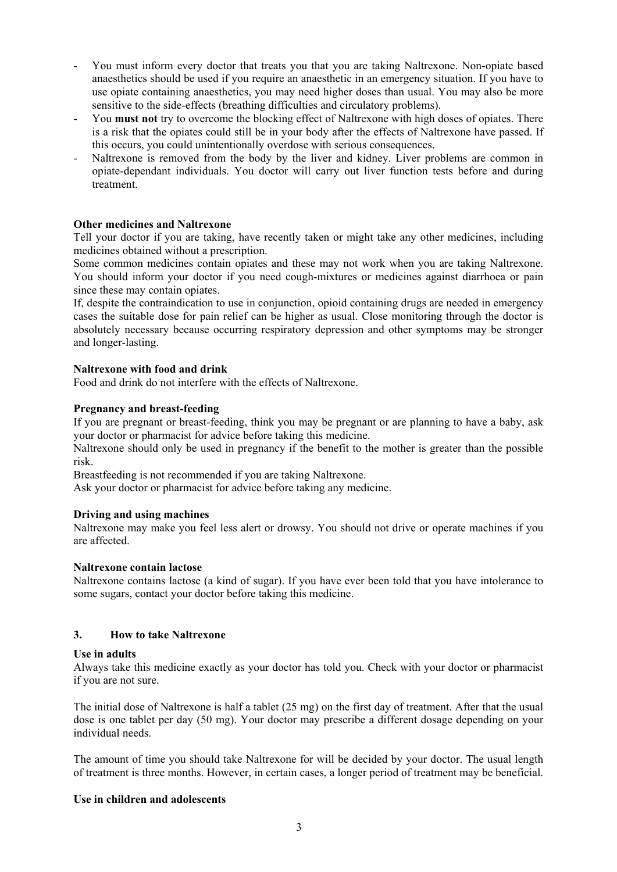- You must inform every doctor that treats you that you are taking Naltrexone. Non-opiate based anaesthetics should be used if you require an anaesthetic in an emergency situation. If you have to use opiate containing anaesthetics, you may need higher doses than usual. You may also be more sensitive to the side-effects (breathing difficulties and circulatory problems).
- You **must not** try to overcome the blocking effect of Naltrexone with high doses of opiates. There is a risk that the opiates could still be in your body after the effects of Naltrexone have passed. If this occurs, you could unintentionally overdose with serious consequences.
- Naltrexone is removed from the body by the liver and kidney. Liver problems are common in opiate-dependant individuals. You doctor will carry out liver function tests before and during treatment.

# **Other medicines and Naltrexone**

Tell your doctor if you are taking, have recently taken or might take any other medicines, including medicines obtained without a prescription.

Some common medicines contain opiates and these may not work when you are taking Naltrexone. You should inform your doctor if you need cough-mixtures or medicines against diarrhoea or pain since these may contain opiates.

If, despite the contraindication to use in conjunction, opioid containing drugs are needed in emergency cases the suitable dose for pain relief can be higher as usual. Close monitoring through the doctor is absolutely necessary because occurring respiratory depression and other symptoms may be stronger and longer-lasting.

# **Naltrexone with food and drink**

Food and drink do not interfere with the effects of Naltrexone.

# **Pregnancy and breast-feeding**

If you are pregnant or breast-feeding, think you may be pregnant or are planning to have a baby, ask your doctor or pharmacist for advice before taking this medicine.

Naltrexone should only be used in pregnancy if the benefit to the mother is greater than the possible risk.

Breastfeeding is not recommended if you are taking Naltrexone.

Ask your doctor or pharmacist for advice before taking any medicine.

#### **Driving and using machines**

Naltrexone may make you feel less alert or drowsy. You should not drive or operate machines if you are affected.

#### **Naltrexone contain lactose**

Naltrexone contains lactose (a kind of sugar). If you have ever been told that you have intolerance to some sugars, contact your doctor before taking this medicine.

## **3. How to take Naltrexone**

#### **Use in adults**

Always take this medicine exactly as your doctor has told you. Check with your doctor or pharmacist if you are not sure.

The initial dose of Naltrexone is half a tablet (25 mg) on the first day of treatment. After that the usual dose is one tablet per day (50 mg). Your doctor may prescribe a different dosage depending on your individual needs.

The amount of time you should take Naltrexone for will be decided by your doctor. The usual length of treatment is three months. However, in certain cases, a longer period of treatment may be beneficial.

#### **Use in children and adolescents**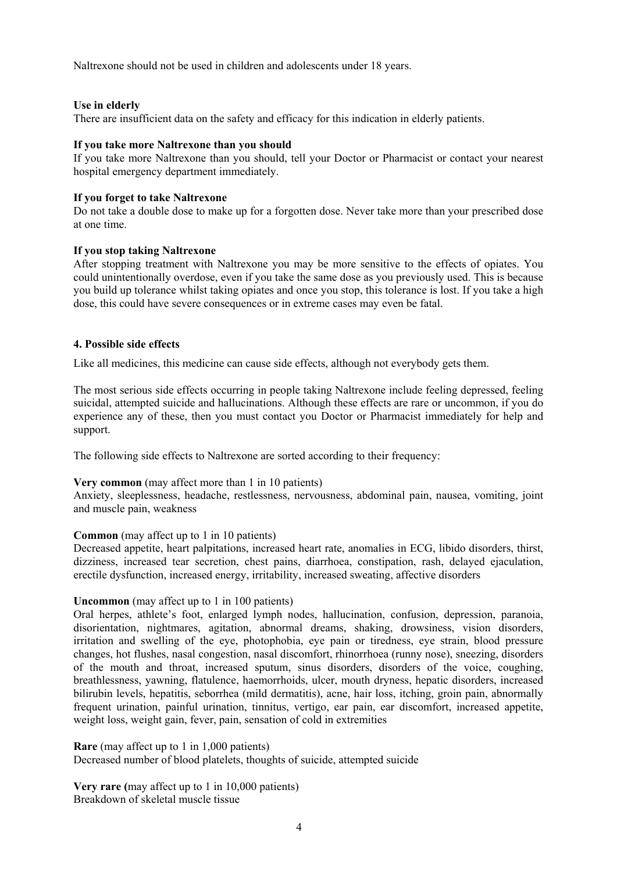Naltrexone should not be used in children and adolescents under 18 years.

# **Use in elderly**

There are insufficient data on the safety and efficacy for this indication in elderly patients.

## **If you take more Naltrexone than you should**

If you take more Naltrexone than you should, tell your Doctor or Pharmacist or contact your nearest hospital emergency department immediately.

## **If you forget to take Naltrexone**

Do not take a double dose to make up for a forgotten dose. Never take more than your prescribed dose at one time.

# **If you stop taking Naltrexone**

After stopping treatment with Naltrexone you may be more sensitive to the effects of opiates. You could unintentionally overdose, even if you take the same dose as you previously used. This is because you build up tolerance whilst taking opiates and once you stop, this tolerance is lost. If you take a high dose, this could have severe consequences or in extreme cases may even be fatal.

# **4. Possible side effects**

Like all medicines, this medicine can cause side effects, although not everybody gets them.

The most serious side effects occurring in people taking Naltrexone include feeling depressed, feeling suicidal, attempted suicide and hallucinations. Although these effects are rare or uncommon, if you do experience any of these, then you must contact you Doctor or Pharmacist immediately for help and support.

The following side effects to Naltrexone are sorted according to their frequency:

# **Very common** (may affect more than 1 in 10 patients)

Anxiety, sleeplessness, headache, restlessness, nervousness, abdominal pain, nausea, vomiting, joint and muscle pain, weakness

#### **Common** (may affect up to 1 in 10 patients)

Decreased appetite, heart palpitations, increased heart rate, anomalies in ECG, libido disorders, thirst, dizziness, increased tear secretion, chest pains, diarrhoea, constipation, rash, delayed ejaculation, erectile dysfunction, increased energy, irritability, increased sweating, affective disorders

#### **Uncommon** (may affect up to 1 in 100 patients)

Oral herpes, athlete's foot, enlarged lymph nodes, hallucination, confusion, depression, paranoia, disorientation, nightmares, agitation, abnormal dreams, shaking, drowsiness, vision disorders, irritation and swelling of the eye, photophobia, eye pain or tiredness, eye strain, blood pressure changes, hot flushes, nasal congestion, nasal discomfort, rhinorrhoea (runny nose), sneezing, disorders of the mouth and throat, increased sputum, sinus disorders, disorders of the voice, coughing, breathlessness, yawning, flatulence, haemorrhoids, ulcer, mouth dryness, hepatic disorders, increased bilirubin levels, hepatitis, seborrhea (mild dermatitis), acne, hair loss, itching, groin pain, abnormally frequent urination, painful urination, tinnitus, vertigo, ear pain, ear discomfort, increased appetite, weight loss, weight gain, fever, pain, sensation of cold in extremities

**Rare** (may affect up to 1 in 1,000 patients) Decreased number of blood platelets, thoughts of suicide, attempted suicide

**Very rare (**may affect up to 1 in 10,000 patients) Breakdown of skeletal muscle tissue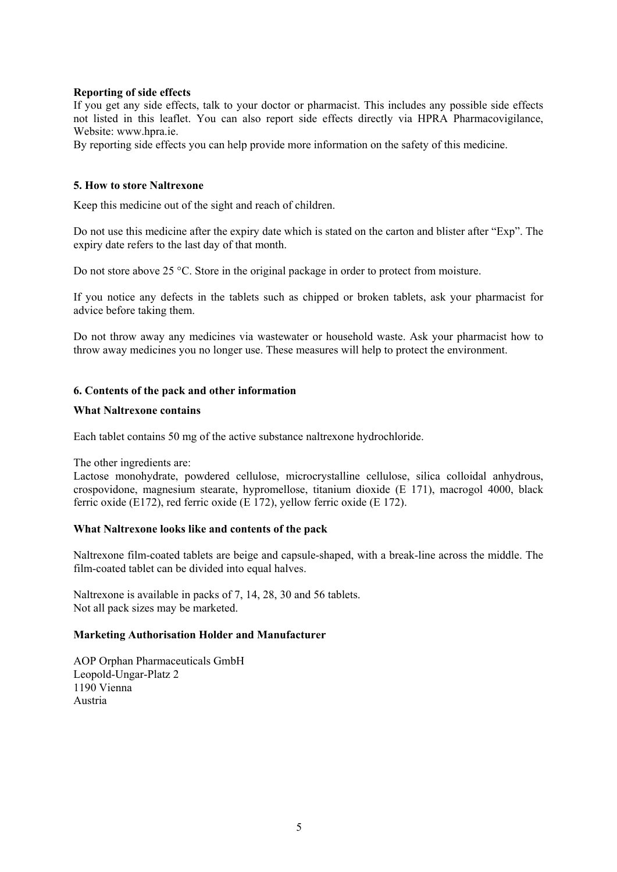# **Reporting of side effects**

If you get any side effects, talk to your doctor or pharmacist. This includes any possible side effects not listed in this leaflet. You can also report side effects directly via HPRA Pharmacovigilance, Website: www.hpra.ie.

By reporting side effects you can help provide more information on the safety of this medicine.

# **5. How to store Naltrexone**

Keep this medicine out of the sight and reach of children.

Do not use this medicine after the expiry date which is stated on the carton and blister after "Exp". The expiry date refers to the last day of that month.

Do not store above 25 °C. Store in the original package in order to protect from moisture.

If you notice any defects in the tablets such as chipped or broken tablets, ask your pharmacist for advice before taking them.

Do not throw away any medicines via wastewater or household waste. Ask your pharmacist how to throw away medicines you no longer use. These measures will help to protect the environment.

# **6. Contents of the pack and other information**

#### **What Naltrexone contains**

Each tablet contains 50 mg of the active substance naltrexone hydrochloride.

The other ingredients are:

Lactose monohydrate, powdered cellulose, microcrystalline cellulose, silica colloidal anhydrous, crospovidone, magnesium stearate, hypromellose, titanium dioxide (E 171), macrogol 4000, black ferric oxide (E172), red ferric oxide (E 172), yellow ferric oxide (E 172).

#### **What Naltrexone looks like and contents of the pack**

Naltrexone film-coated tablets are beige and capsule-shaped, with a break-line across the middle. The film-coated tablet can be divided into equal halves.

Naltrexone is available in packs of 7, 14, 28, 30 and 56 tablets. Not all pack sizes may be marketed.

#### **Marketing Authorisation Holder and Manufacturer**

AOP Orphan Pharmaceuticals GmbH Leopold-Ungar-Platz 2 1190 Vienna Austria